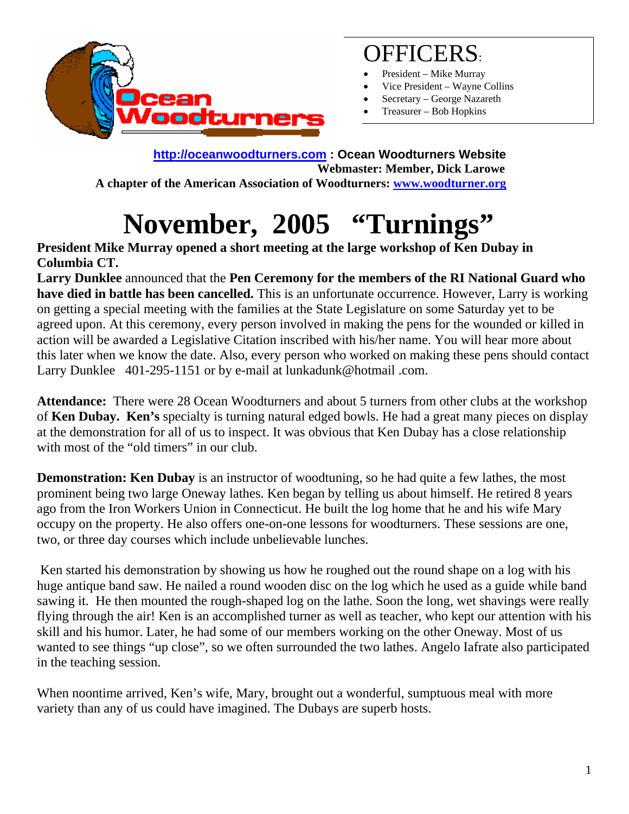

## OFFICERS:

- President Mike Murray
- Vice President Wayne Collins
- Secretary George Nazareth
- Treasurer Bob Hopkins

**http://oceanwoodturners.com : Ocean Woodturners Website Webmaster: Member, Dick Larowe A chapter of the American Association of Woodturners: www.woodturner.org** 

## **November, 2005 "Turnings"**

## **President Mike Murray opened a short meeting at the large workshop of Ken Dubay in Columbia CT.**

**Larry Dunklee** announced that the **Pen Ceremony for the members of the RI National Guard who have died in battle has been cancelled.** This is an unfortunate occurrence. However, Larry is working on getting a special meeting with the families at the State Legislature on some Saturday yet to be agreed upon. At this ceremony, every person involved in making the pens for the wounded or killed in action will be awarded a Legislative Citation inscribed with his/her name. You will hear more about this later when we know the date. Also, every person who worked on making these pens should contact Larry Dunklee 401-295-1151 or by e-mail at lunkadunk@hotmail .com.

**Attendance:** There were 28 Ocean Woodturners and about 5 turners from other clubs at the workshop of **Ken Dubay. Ken's** specialty is turning natural edged bowls. He had a great many pieces on display at the demonstration for all of us to inspect. It was obvious that Ken Dubay has a close relationship with most of the "old timers" in our club.

**Demonstration: Ken Dubay** is an instructor of woodtuning, so he had quite a few lathes, the most prominent being two large Oneway lathes. Ken began by telling us about himself. He retired 8 years ago from the Iron Workers Union in Connecticut. He built the log home that he and his wife Mary occupy on the property. He also offers one-on-one lessons for woodturners. These sessions are one, two, or three day courses which include unbelievable lunches.

 Ken started his demonstration by showing us how he roughed out the round shape on a log with his huge antique band saw. He nailed a round wooden disc on the log which he used as a guide while band sawing it. He then mounted the rough-shaped log on the lathe. Soon the long, wet shavings were really flying through the air! Ken is an accomplished turner as well as teacher, who kept our attention with his skill and his humor. Later, he had some of our members working on the other Oneway. Most of us wanted to see things "up close", so we often surrounded the two lathes. Angelo Iafrate also participated in the teaching session.

When noontime arrived, Ken's wife, Mary, brought out a wonderful, sumptuous meal with more variety than any of us could have imagined. The Dubays are superb hosts.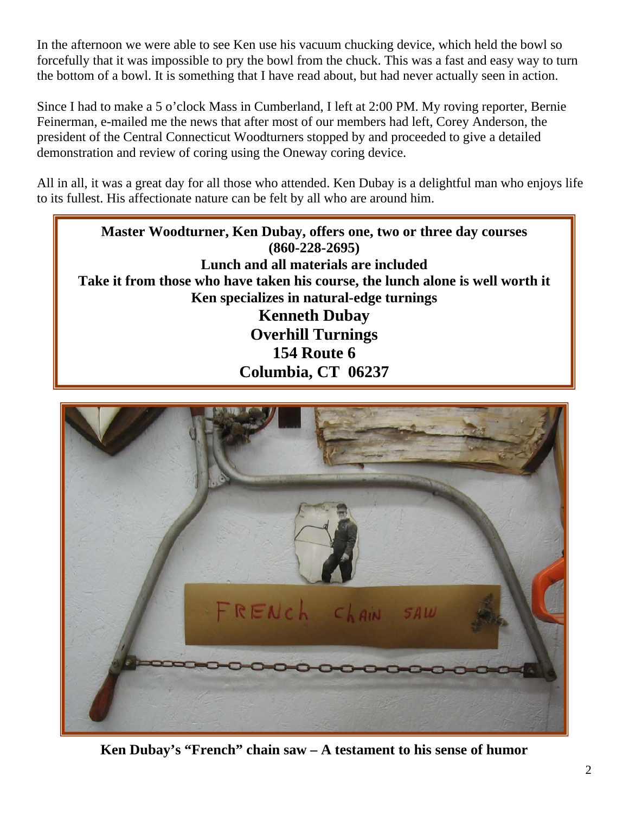In the afternoon we were able to see Ken use his vacuum chucking device, which held the bowl so forcefully that it was impossible to pry the bowl from the chuck. This was a fast and easy way to turn the bottom of a bowl. It is something that I have read about, but had never actually seen in action.

Since I had to make a 5 o'clock Mass in Cumberland, I left at 2:00 PM. My roving reporter, Bernie Feinerman, e-mailed me the news that after most of our members had left, Corey Anderson, the president of the Central Connecticut Woodturners stopped by and proceeded to give a detailed demonstration and review of coring using the Oneway coring device.

All in all, it was a great day for all those who attended. Ken Dubay is a delightful man who enjoys life to its fullest. His affectionate nature can be felt by all who are around him.

**Master Woodturner, Ken Dubay, offers one, two or three day courses (860-228-2695) Lunch and all materials are included Take it from those who have taken his course, the lunch alone is well worth it Ken specializes in natural-edge turnings Kenneth Dubay Overhill Turnings 154 Route 6 Columbia, CT 06237** 



**Ken Dubay's "French" chain saw – A testament to his sense of humor**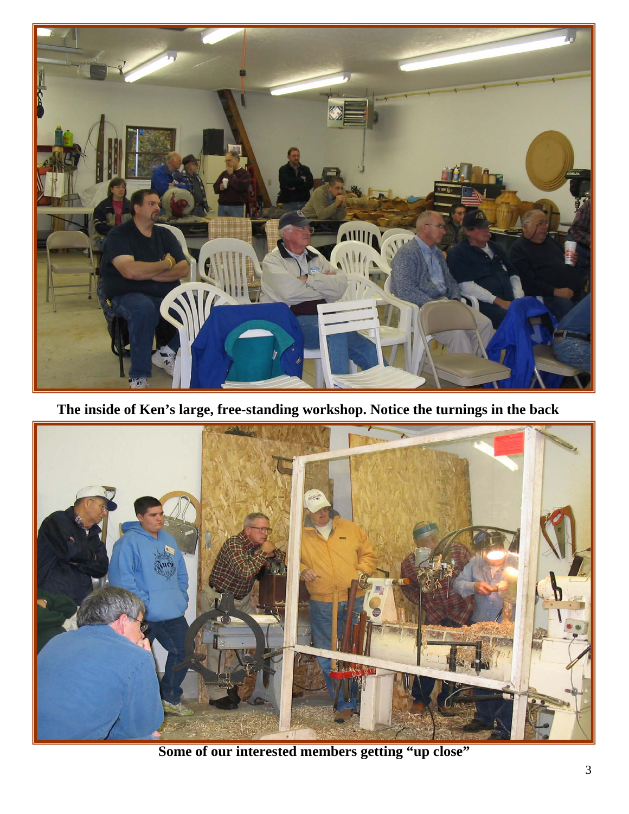

**The inside of Ken's large, free-standing workshop. Notice the turnings in the back** 



**Some of our interested members getting "up close"**